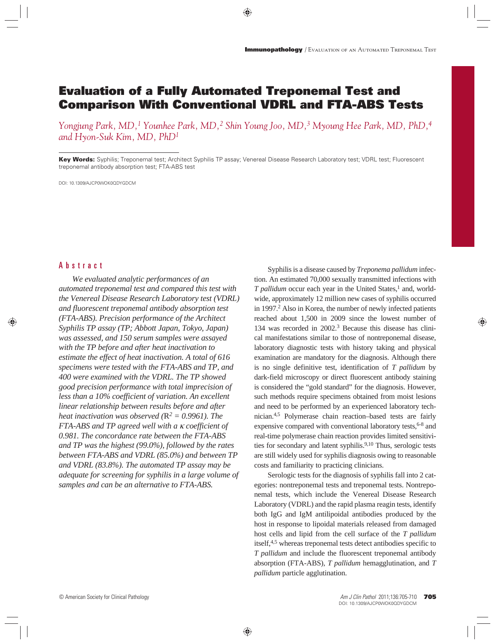# **Evaluation of a Fully Automated Treponemal Test and Comparison With Conventional VDRL and FTA-ABS Tests**

*Yongjung Park, MD,1 Younhee Park, MD,2 Shin Young Joo, MD,3 Myoung Hee Park, MD, PhD,4 and Hyon-Suk Kim, MD, PhD1*

**Key Words:** Syphilis; Treponemal test; Architect Syphilis TP assay; Venereal Disease Research Laboratory test; VDRL test; Fluorescent treponemal antibody absorption test; FTA-ABS test

DOI: 10.1309/AJCP0WOK0QDYGDCM

# Abstract

*We evaluated analytic performances of an automated treponemal test and compared this test with the Venereal Disease Research Laboratory test (VDRL) and fluorescent treponemal antibody absorption test (FTA-ABS). Precision performance of the Architect Syphilis TP assay (TP; Abbott Japan, Tokyo, Japan) was assessed, and 150 serum samples were assayed with the TP before and after heat inactivation to estimate the effect of heat inactivation. A total of 616 specimens were tested with the FTA-ABS and TP, and 400 were examined with the VDRL. The TP showed good precision performance with total imprecision of less than a 10% coefficient of variation. An excellent linear relationship between results before and after heat inactivation was observed* ( $R^2 = 0.9961$ ). The *FTA-ABS and TP agreed well with a* κ *coefficient of 0.981. The concordance rate between the FTA-ABS and TP was the highest (99.0%), followed by the rates between FTA-ABS and VDRL (85.0%) and between TP and VDRL (83.8%). The automated TP assay may be adequate for screening for syphilis in a large volume of samples and can be an alternative to FTA-ABS.*

Syphilis is a disease caused by *Treponema pallidum* infection. An estimated 70,000 sexually transmitted infections with *T pallidum* occur each year in the United States,<sup>1</sup> and, worldwide, approximately 12 million new cases of syphilis occurred in 1997.<sup>2</sup> Also in Korea, the number of newly infected patients reached about 1,500 in 2009 since the lowest number of 134 was recorded in 2002.3 Because this disease has clinical manifestations similar to those of nontreponemal disease, laboratory diagnostic tests with history taking and physical examination are mandatory for the diagnosis. Although there is no single definitive test, identification of *T pallidum* by dark-field microscopy or direct fluorescent antibody staining is considered the "gold standard" for the diagnosis. However, such methods require specimens obtained from moist lesions and need to be performed by an experienced laboratory technician.4,5 Polymerase chain reaction–based tests are fairly expensive compared with conventional laboratory tests, <sup>6-8</sup> and real-time polymerase chain reaction provides limited sensitivities for secondary and latent syphilis.<sup>9,10</sup> Thus, serologic tests are still widely used for syphilis diagnosis owing to reasonable costs and familiarity to practicing clinicians.

Serologic tests for the diagnosis of syphilis fall into 2 categories: nontreponemal tests and treponemal tests. Nontreponemal tests, which include the Venereal Disease Research Laboratory (VDRL) and the rapid plasma reagin tests, identify both IgG and IgM antilipoidal antibodies produced by the host in response to lipoidal materials released from damaged host cells and lipid from the cell surface of the *T pallidum* itself,4,5 whereas treponemal tests detect antibodies specific to *T pallidum* and include the fluorescent treponemal antibody absorption (FTA-ABS), *T pallidum* hemagglutination, and *T pallidum* particle agglutination.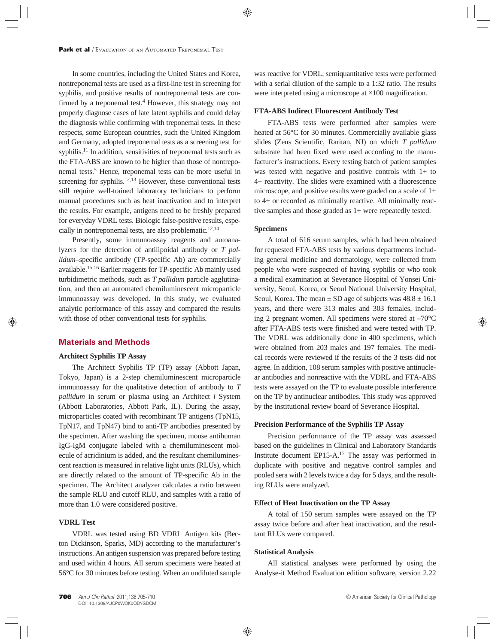In some countries, including the United States and Korea, nontreponemal tests are used as a first-line test in screening for syphilis, and positive results of nontreponemal tests are confirmed by a treponemal test.<sup>4</sup> However, this strategy may not properly diagnose cases of late latent syphilis and could delay the diagnosis while confirming with treponemal tests. In these respects, some European countries, such the United Kingdom and Germany, adopted treponemal tests as a screening test for syphilis.<sup>11</sup> In addition, sensitivities of treponemal tests such as the FTA-ABS are known to be higher than those of nontreponemal tests.5 Hence, treponemal tests can be more useful in screening for syphilis.<sup>12,13</sup> However, these conventional tests still require well-trained laboratory technicians to perform manual procedures such as heat inactivation and to interpret the results. For example, antigens need to be freshly prepared for everyday VDRL tests. Biologic false-positive results, especially in nontreponemal tests, are also problematic.12,14

Presently, some immunoassay reagents and autoanalyzers for the detection of antilipoidal antibody or *T pallidum*–specific antibody (TP-specific Ab) are commercially available.15,16 Earlier reagents for TP-specific Ab mainly used turbidimetric methods, such as *T pallidum* particle agglutination, and then an automated chemiluminescent microparticle immunoassay was developed. In this study, we evaluated analytic performance of this assay and compared the results with those of other conventional tests for syphilis.

## **Materials and Methods**

## **Architect Syphilis TP Assay**

The Architect Syphilis TP (TP) assay (Abbott Japan, Tokyo, Japan) is a 2-step chemiluminescent microparticle immunoassay for the qualitative detection of antibody to *T pallidum* in serum or plasma using an Architect *i* System (Abbott Laboratories, Abbott Park, IL). During the assay, microparticles coated with recombinant TP antigens (TpN15, TpN17, and TpN47) bind to anti-TP antibodies presented by the specimen. After washing the specimen, mouse antihuman IgG-IgM conjugate labeled with a chemiluminescent molecule of acridinium is added, and the resultant chemiluminescent reaction is measured in relative light units (RLUs), which are directly related to the amount of TP-specific Ab in the specimen. The Architect analyzer calculates a ratio between the sample RLU and cutoff RLU, and samples with a ratio of more than 1.0 were considered positive.

### **VDRL Test**

VDRL was tested using BD VDRL Antigen kits (Becton Dickinson, Sparks, MD) according to the manufacturer's instructions. An antigen suspension was prepared before testing and used within 4 hours. All serum specimens were heated at 56°C for 30 minutes before testing. When an undiluted sample was reactive for VDRL, semiquantitative tests were performed with a serial dilution of the sample to a 1:32 ratio. The results were interpreted using a microscope at ×100 magnification.

#### **FTA-ABS Indirect Fluorescent Antibody Test**

FTA-ABS tests were performed after samples were heated at 56°C for 30 minutes. Commercially available glass slides (Zeus Scientific, Raritan, NJ) on which *T pallidum* substrate had been fixed were used according to the manufacturer's instructions. Every testing batch of patient samples was tested with negative and positive controls with 1+ to 4+ reactivity. The slides were examined with a fluorescence microscope, and positive results were graded on a scale of 1+ to 4+ or recorded as minimally reactive. All minimally reactive samples and those graded as 1+ were repeatedly tested.

### **Specimens**

A total of 616 serum samples, which had been obtained for requested FTA-ABS tests by various departments including general medicine and dermatology, were collected from people who were suspected of having syphilis or who took a medical examination at Severance Hospital of Yonsei University, Seoul, Korea, or Seoul National University Hospital, Seoul, Korea. The mean  $\pm$  SD age of subjects was  $48.8 \pm 16.1$ years, and there were 313 males and 303 females, including 2 pregnant women. All specimens were stored at –70°C after FTA-ABS tests were finished and were tested with TP. The VDRL was additionally done in 400 specimens, which were obtained from 203 males and 197 females. The medical records were reviewed if the results of the 3 tests did not agree. In addition, 108 serum samples with positive antinuclear antibodies and nonreactive with the VDRL and FTA-ABS tests were assayed on the TP to evaluate possible interference on the TP by antinuclear antibodies. This study was approved by the institutional review board of Severance Hospital.

#### **Precision Performance of the Syphilis TP Assay**

Precision performance of the TP assay was assessed based on the guidelines in Clinical and Laboratory Standards Institute document EP15-A.17 The assay was performed in duplicate with positive and negative control samples and pooled sera with 2 levels twice a day for 5 days, and the resulting RLUs were analyzed.

#### **Effect of Heat Inactivation on the TP Assay**

A total of 150 serum samples were assayed on the TP assay twice before and after heat inactivation, and the resultant RLUs were compared.

#### **Statistical Analysis**

All statistical analyses were performed by using the Analyse-it Method Evaluation edition software, version 2.22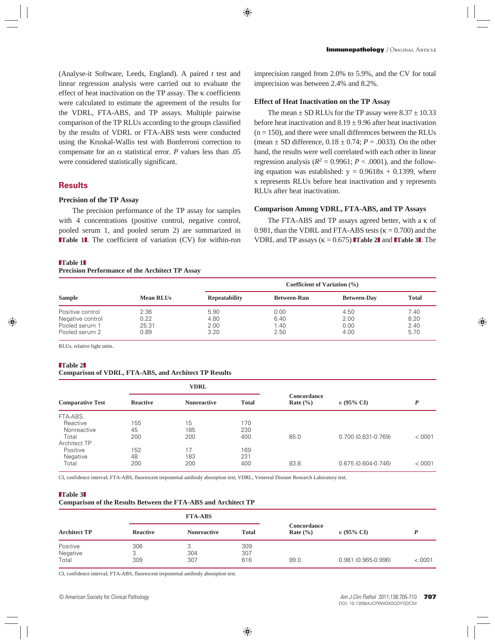(Analyse-it Software, Leeds, England). A paired *t* test and linear regression analysis were carried out to evaluate the effect of heat inactivation on the TP assay. The κ coefficients were calculated to estimate the agreement of the results for the VDRL, FTA-ABS, and TP assays. Multiple pairwise comparison of the TP RLUs according to the groups classified by the results of VDRL or FTA-ABS tests were conducted using the Kruskal-Wallis test with Bonferroni correction to compensate for an α statistical error. *P* values less than .05 were considered statistically significant.

# **Results**

#### **Precision of the TP Assay**

The precision performance of the TP assay for samples with 4 concentrations (positive control, negative control, pooled serum 1, and pooled serum 2) are summarized in **Table 1**. The coefficient of variation (CV) for within-run

#### ❚**Table 1**❚

## **Precision Performance of the Architect TP Assay**

imprecision ranged from 2.0% to 5.9%, and the CV for total imprecision was between 2.4% and 8.2%.

#### **Effect of Heat Inactivation on the TP Assay**

The mean  $\pm$  SD RLUs for the TP assay were  $8.37 \pm 10.33$ before heat inactivation and  $8.19 \pm 9.96$  after heat inactivation  $(n = 150)$ , and there were small differences between the RLUs (mean  $\pm$  SD difference,  $0.18 \pm 0.74$ ;  $P = .0033$ ). On the other hand, the results were well correlated with each other in linear regression analysis  $(R^2 = 0.9961; P < .0001)$ , and the following equation was established:  $y = 0.9618x + 0.1399$ , where x represents RLUs before heat inactivation and y represents RLUs after heat inactivation.

#### **Comparison Among VDRL, FTA-ABS, and TP Assays**

The FTA-ABS and TP assays agreed better, with a κ of 0.981, than the VDRL and FTA-ABS tests ( $\kappa$  = 0.700) and the **VDRL** and **TP** assays ( $\kappa = 0.675$ ) **Table 2** and **Table 3**. The

|                                                                          |                               |                              | Coefficient of Variation $(\% )$ |                              |                              |  |  |
|--------------------------------------------------------------------------|-------------------------------|------------------------------|----------------------------------|------------------------------|------------------------------|--|--|
| <b>Sample</b>                                                            | Mean RLUs                     | <b>Repeatability</b>         | <b>Between-Run</b>               | <b>Between-Day</b>           | <b>Total</b>                 |  |  |
| Positive control<br>Negative control<br>Pooled serum 1<br>Pooled serum 2 | 2.36<br>0.22<br>25.31<br>0.89 | 5.90<br>4.80<br>2.00<br>3.20 | 0.00<br>6.40<br>1.40<br>2.50     | 4.50<br>2.00<br>0.00<br>4.00 | 7.40<br>8.20<br>2.40<br>5.70 |  |  |

RLUs, relative light units.

#### ❚**Table 2**❚

#### **Comparison of VDRL, FTA-ABS, and Architect TP Results**

| <b>Comparative Test</b> | <b>VDRL</b>     |                    |              |                             |                     |         |
|-------------------------|-----------------|--------------------|--------------|-----------------------------|---------------------|---------|
|                         | <b>Reactive</b> | <b>Nonreactive</b> | <b>Total</b> | Concordance<br>Rate $(\% )$ | $\kappa$ (95% CI)   | D       |
| FTA-ABS                 |                 |                    |              |                             |                     |         |
| Reactive                | 155             | 15                 | 170          |                             |                     |         |
| Nonreactive             | 45              | 185                | 230          |                             |                     |         |
| Total                   | 200             | 200                | 400          | 85.0                        | 0.700 (0.631-0.769) | < .0001 |
| Architect TP            |                 |                    |              |                             |                     |         |
| Positive                | 152             | 17                 | 169          |                             |                     |         |
| Negative                | 48              | 183                | 231          |                             |                     |         |
| Total                   | 200             | 200                | 400          | 83.8                        | 0.675 (0.604-0.746) | < .0001 |

CI, confidence interval; FTA-ABS, fluorescent treponemal antibody absorption test; VDRL, Venereal Disease Research Laboratory test.

#### ❚**Table 3**❚

#### **Comparison of the Results Between the FTA-ABS and Architect TP**

| <b>Architect TP</b>           |                 | <b>FTA-ABS</b>     |                   |                             |                        |         |
|-------------------------------|-----------------|--------------------|-------------------|-----------------------------|------------------------|---------|
|                               | <b>Reactive</b> | <b>Nonreactive</b> | Total             | Concordance<br>Rate $(\% )$ | $\kappa$ (95% CI)      |         |
| Positive<br>Negative<br>Total | 306<br>309      | 304<br>307         | 309<br>307<br>616 | 99.0                        | $0.981(0.965 - 0.996)$ | < .0001 |

CI, confidence interval; FTA-ABS, fluorescent treponemal antibody absorption test.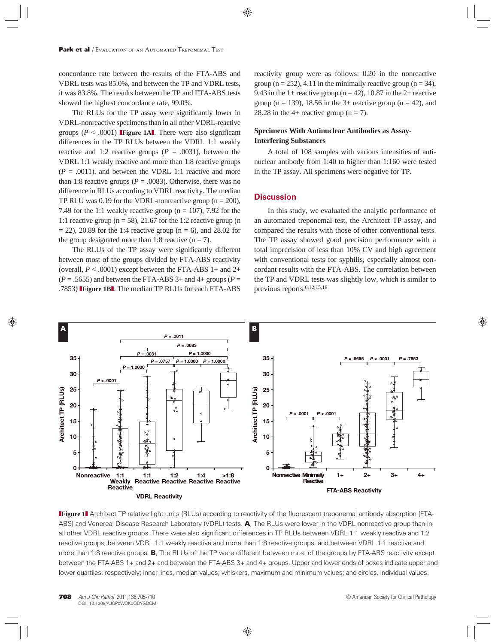concordance rate between the results of the FTA-ABS and VDRL tests was 85.0%, and between the TP and VDRL tests, it was 83.8%. The results between the TP and FTA-ABS tests showed the highest concordance rate, 99.0%.

The RLUs for the TP assay were significantly lower in VDRL-nonreactive specimens than in all other VDRL-reactive groups ( $P < .0001$ ) **Figure 1Al**. There were also significant differences in the TP RLUs between the VDRL 1:1 weakly reactive and 1:2 reactive groups  $(P = .0031)$ , between the VDRL 1:1 weakly reactive and more than 1:8 reactive groups  $(P = .0011)$ , and between the VDRL 1:1 reactive and more than 1:8 reactive groups ( $P = .0083$ ). Otherwise, there was no difference in RLUs according to VDRL reactivity. The median TP RLU was 0.19 for the VDRL-nonreactive group ( $n = 200$ ), 7.49 for the 1:1 weakly reactive group ( $n = 107$ ), 7.92 for the 1:1 reactive group ( $n = 58$ ), 21.67 for the 1:2 reactive group (n  $= 22$ ), 20.89 for the 1:4 reactive group (n = 6), and 28.02 for the group designated more than 1:8 reactive  $(n = 7)$ .

The RLUs of the TP assay were significantly different between most of the groups divided by FTA-ABS reactivity (overall,  $P < .0001$ ) except between the FTA-ABS 1+ and 2+  $(P = .5655)$  and between the FTA-ABS 3+ and 4+ groups  $(P =$ .7853) ❚**Figure 1B**❚. The median TP RLUs for each FTA-ABS reactivity group were as follows: 0.20 in the nonreactive group ( $n = 252$ ), 4.11 in the minimally reactive group ( $n = 34$ ), 9.43 in the 1+ reactive group ( $n = 42$ ), 10.87 in the 2+ reactive group ( $n = 139$ ), 18.56 in the 3+ reactive group ( $n = 42$ ), and 28.28 in the 4+ reactive group ( $n = 7$ ).

# **Specimens With Antinuclear Antibodies as Assay-Interfering Substances**

A total of 108 samples with various intensities of antinuclear antibody from 1:40 to higher than 1:160 were tested in the TP assay. All specimens were negative for TP.

# **Discussion**

In this study, we evaluated the analytic performance of an automated treponemal test, the Architect TP assay, and compared the results with those of other conventional tests. The TP assay showed good precision performance with a total imprecision of less than 10% CV and high agreement with conventional tests for syphilis, especially almost concordant results with the FTA-ABS. The correlation between the TP and VDRL tests was slightly low, which is similar to previous reports.6,12,15,18



❚**Figure 1**❚ Architect TP relative light units (RLUs) according to reactivity of the fluorescent treponemal antibody absorption (FTA-ABS) and Venereal Disease Research Laboratory (VDRL) tests. **A**, The RLUs were lower in the VDRL nonreactive group than in all other VDRL reactive groups. There were also significant differences in TP RLUs between VDRL 1:1 weakly reactive and 1:2 reactive groups, between VDRL 1:1 weakly reactive and more than 1:8 reactive groups, and between VDRL 1:1 reactive and more than 1:8 reactive groups. **B**, The RLUs of the TP were different between most of the groups by FTA-ABS reactivity except between the FTA-ABS 1+ and 2+ and between the FTA-ABS 3+ and 4+ groups. Upper and lower ends of boxes indicate upper and lower quartiles, respectively; inner lines, median values; whiskers, maximum and minimum values; and circles, individual values.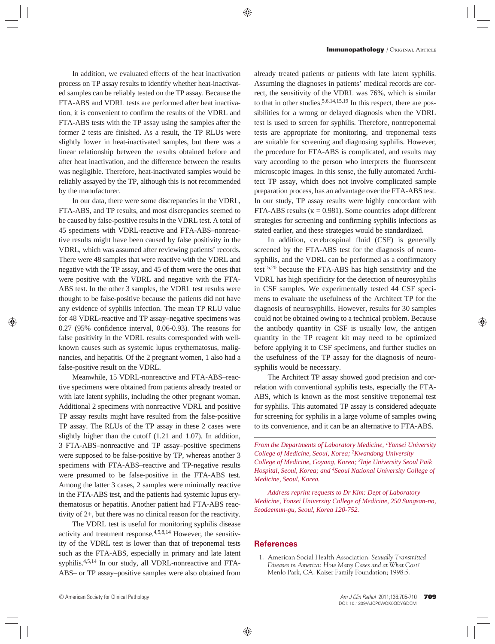In addition, we evaluated effects of the heat inactivation process on TP assay results to identify whether heat-inactivated samples can be reliably tested on the TP assay. Because the FTA-ABS and VDRL tests are performed after heat inactivation, it is convenient to confirm the results of the VDRL and FTA-ABS tests with the TP assay using the samples after the former 2 tests are finished. As a result, the TP RLUs were slightly lower in heat-inactivated samples, but there was a linear relationship between the results obtained before and after heat inactivation, and the difference between the results was negligible. Therefore, heat-inactivated samples would be reliably assayed by the TP, although this is not recommended by the manufacturer.

In our data, there were some discrepancies in the VDRL, FTA-ABS, and TP results, and most discrepancies seemed to be caused by false-positive results in the VDRL test. A total of 45 specimens with VDRL-reactive and FTA-ABS–nonreactive results might have been caused by false positivity in the VDRL, which was assumed after reviewing patients' records. There were 48 samples that were reactive with the VDRL and negative with the TP assay, and 45 of them were the ones that were positive with the VDRL and negative with the FTA-ABS test. In the other 3 samples, the VDRL test results were thought to be false-positive because the patients did not have any evidence of syphilis infection. The mean TP RLU value for 48 VDRL-reactive and TP assay–negative specimens was 0.27 (95% confidence interval, 0.06-0.93). The reasons for false positivity in the VDRL results corresponded with wellknown causes such as systemic lupus erythematosus, malignancies, and hepatitis. Of the 2 pregnant women, 1 also had a false-positive result on the VDRL.

Meanwhile, 15 VDRL-nonreactive and FTA-ABS–reactive specimens were obtained from patients already treated or with late latent syphilis, including the other pregnant woman. Additional 2 specimens with nonreactive VDRL and positive TP assay results might have resulted from the false-positive TP assay. The RLUs of the TP assay in these 2 cases were slightly higher than the cutoff (1.21 and 1.07). In addition, 3 FTA-ABS–nonreactive and TP assay–positive specimens were supposed to be false-positive by TP, whereas another 3 specimens with FTA-ABS–reactive and TP-negative results were presumed to be false-positive in the FTA-ABS test. Among the latter 3 cases, 2 samples were minimally reactive in the FTA-ABS test, and the patients had systemic lupus erythematosus or hepatitis. Another patient had FTA-ABS reactivity of 2+, but there was no clinical reason for the reactivity.

The VDRL test is useful for monitoring syphilis disease activity and treatment response.4,5,8,14 However, the sensitivity of the VDRL test is lower than that of treponemal tests such as the FTA-ABS, especially in primary and late latent syphilis.4,5,14 In our study, all VDRL-nonreactive and FTA-ABS– or TP assay–positive samples were also obtained from

already treated patients or patients with late latent syphilis. Assuming the diagnoses in patients' medical records are correct, the sensitivity of the VDRL was 76%, which is similar to that in other studies.5,6,14,15,19 In this respect, there are possibilities for a wrong or delayed diagnosis when the VDRL test is used to screen for syphilis. Therefore, nontreponemal tests are appropriate for monitoring, and treponemal tests are suitable for screening and diagnosing syphilis. However, the procedure for FTA-ABS is complicated, and results may vary according to the person who interprets the fluorescent microscopic images. In this sense, the fully automated Architect TP assay, which does not involve complicated sample preparation process, has an advantage over the FTA-ABS test. In our study, TP assay results were highly concordant with FTA-ABS results ( $\kappa = 0.981$ ). Some countries adopt different strategies for screening and confirming syphilis infections as stated earlier, and these strategies would be standardized.

In addition, cerebrospinal fluid (CSF) is generally screened by the FTA-ABS test for the diagnosis of neurosyphilis, and the VDRL can be performed as a confirmatory test $15,20$  because the FTA-ABS has high sensitivity and the VDRL has high specificity for the detection of neurosyphilis in CSF samples. We experimentally tested 44 CSF specimens to evaluate the usefulness of the Architect TP for the diagnosis of neurosyphilis. However, results for 30 samples could not be obtained owing to a technical problem. Because the antibody quantity in CSF is usually low, the antigen quantity in the TP reagent kit may need to be optimized before applying it to CSF specimens, and further studies on the usefulness of the TP assay for the diagnosis of neurosyphilis would be necessary.

The Architect TP assay showed good precision and correlation with conventional syphilis tests, especially the FTA-ABS, which is known as the most sensitive treponemal test for syphilis. This automated TP assay is considered adequate for screening for syphilis in a large volume of samples owing to its convenience, and it can be an alternative to FTA-ABS.

*From the Departments of Laboratory Medicine, 1Yonsei University College of Medicine, Seoul, Korea; 2Kwandong University College of Medicine, Goyang, Korea; 3Inje University Seoul Paik Hospital, Seoul, Korea; and 4Seoul National University College of Medicine, Seoul, Korea.*

*Address reprint requests to Dr Kim: Dept of Laboratory Medicine, Yonsei University College of Medicine, 250 Sungsan-no, Seodaemun-gu, Seoul, Korea 120-752.*

## **References**

 1. American Social Health A ssociation. *Sexually Transmitted Diseases in America: How Many Cases and at What Cost?*  Menlo Park, CA: Kaiser Family Foundation; 1998:5.